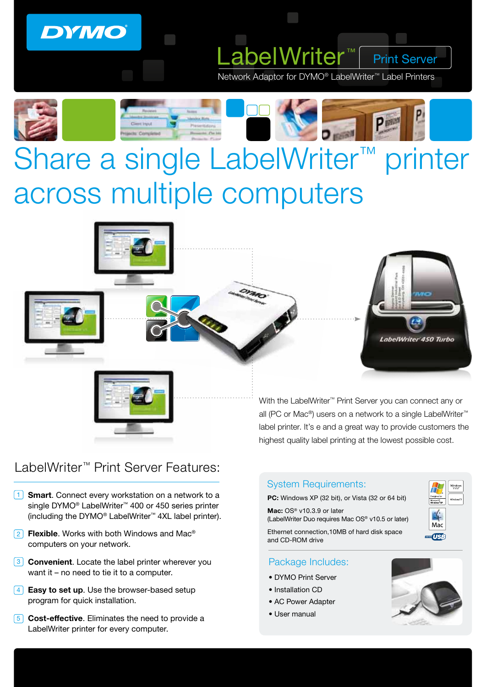## **DYMO**

Network Adaptor for DYMO® LabelWriter™ Label Printers

.abelWrite



# Share a single LabelWriter™ printer across multiple computers



Print Server



### LabelWriter™ Print Server Features:

- 1 Smart. Connect every workstation on a network to a single DYMO<sup>®</sup> LabelWriter<sup>™</sup> 400 or 450 series printer (including the DYMO® LabelWriter™ 4XL label printer).
- $2$  Flexible. Works with both Windows and Mac® computers on your network.
- **3** Convenient. Locate the label printer wherever you want it – no need to tie it to a computer.
- $\overline{4}$  Easy to set up. Use the browser-based setup program for quick installation.
- 5 Cost-effective. Eliminates the need to provide a LabelWriter printer for every computer.

With the LabelWriter™ Print Server you can connect any or all (PC or Mac®) users on a network to a single LabelWriter™ label printer. It's e and a great way to provide customers the highest quality label printing at the lowest possible cost.

#### System Requirements:

PC: Windows XP (32 bit), or Vista (32 or 64 bit)

Mac: OS<sup>®</sup> v10.3.9 or later (LabelWriter Duo requires Mac OS® v10.5 or later)

Ethernet connection,10MB of hard disk space and CD-ROM drive

#### Package Includes:

- DYMO Print Server
- Installation CD
- AC Power Adapter
- User manual



Mac **TUSB**